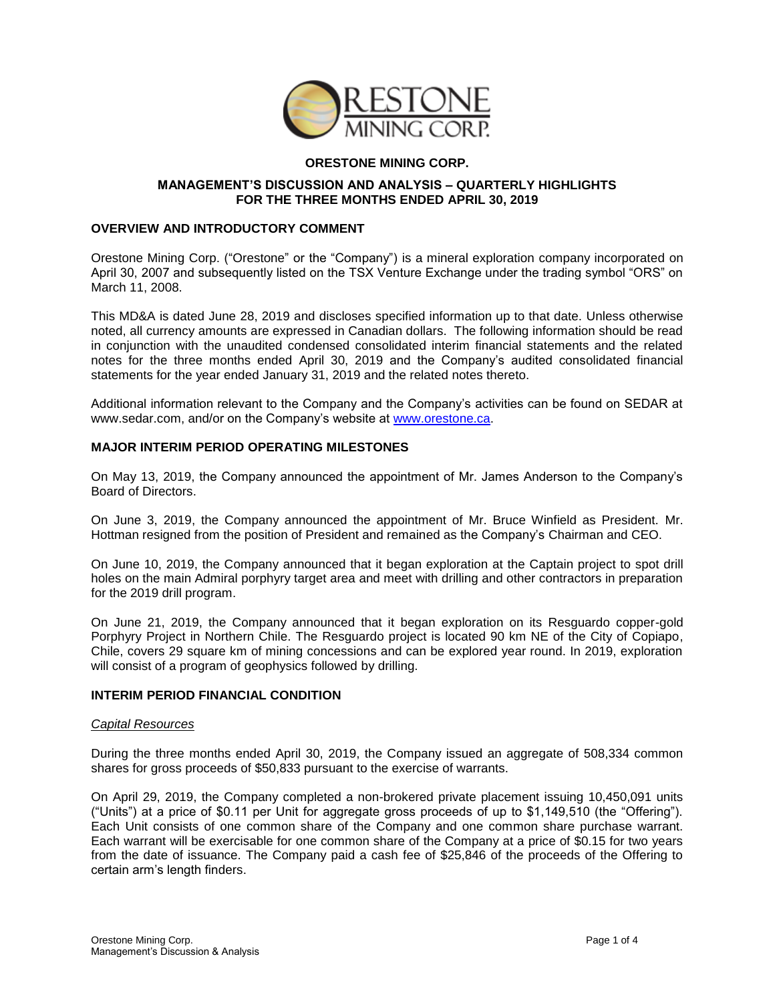

# **ORESTONE MINING CORP.**

### **MANAGEMENT'S DISCUSSION AND ANALYSIS – QUARTERLY HIGHLIGHTS FOR THE THREE MONTHS ENDED APRIL 30, 2019**

## **OVERVIEW AND INTRODUCTORY COMMENT**

Orestone Mining Corp. ("Orestone" or the "Company") is a mineral exploration company incorporated on April 30, 2007 and subsequently listed on the TSX Venture Exchange under the trading symbol "ORS" on March 11, 2008.

This MD&A is dated June 28, 2019 and discloses specified information up to that date. Unless otherwise noted, all currency amounts are expressed in Canadian dollars. The following information should be read in conjunction with the unaudited condensed consolidated interim financial statements and the related notes for the three months ended April 30, 2019 and the Company's audited consolidated financial statements for the year ended January 31, 2019 and the related notes thereto.

Additional information relevant to the Company and the Company's activities can be found on SEDAR at [www.sedar.com,](http://www.sedar.com/) and/or on the Company's website at [www.orestone.ca.](http://www.orestone.ca/)

## **MAJOR INTERIM PERIOD OPERATING MILESTONES**

On May 13, 2019, the Company announced the appointment of Mr. James Anderson to the Company's Board of Directors.

On June 3, 2019, the Company announced the appointment of Mr. Bruce Winfield as President. Mr. Hottman resigned from the position of President and remained as the Company's Chairman and CEO.

On June 10, 2019, the Company announced that it began exploration at the Captain project to spot drill holes on the main Admiral porphyry target area and meet with drilling and other contractors in preparation for the 2019 drill program.

On June 21, 2019, the Company announced that it began exploration on its Resguardo copper-gold Porphyry Project in Northern Chile. The Resguardo project is located 90 km NE of the City of Copiapo, Chile, covers 29 square km of mining concessions and can be explored year round. In 2019, exploration will consist of a program of geophysics followed by drilling.

### **INTERIM PERIOD FINANCIAL CONDITION**

### *Capital Resources*

During the three months ended April 30, 2019, the Company issued an aggregate of 508,334 common shares for gross proceeds of \$50,833 pursuant to the exercise of warrants.

On April 29, 2019, the Company completed a non-brokered private placement issuing 10,450,091 units ("Units") at a price of \$0.11 per Unit for aggregate gross proceeds of up to \$1,149,510 (the "Offering"). Each Unit consists of one common share of the Company and one common share purchase warrant. Each warrant will be exercisable for one common share of the Company at a price of \$0.15 for two years from the date of issuance. The Company paid a cash fee of \$25,846 of the proceeds of the Offering to certain arm's length finders.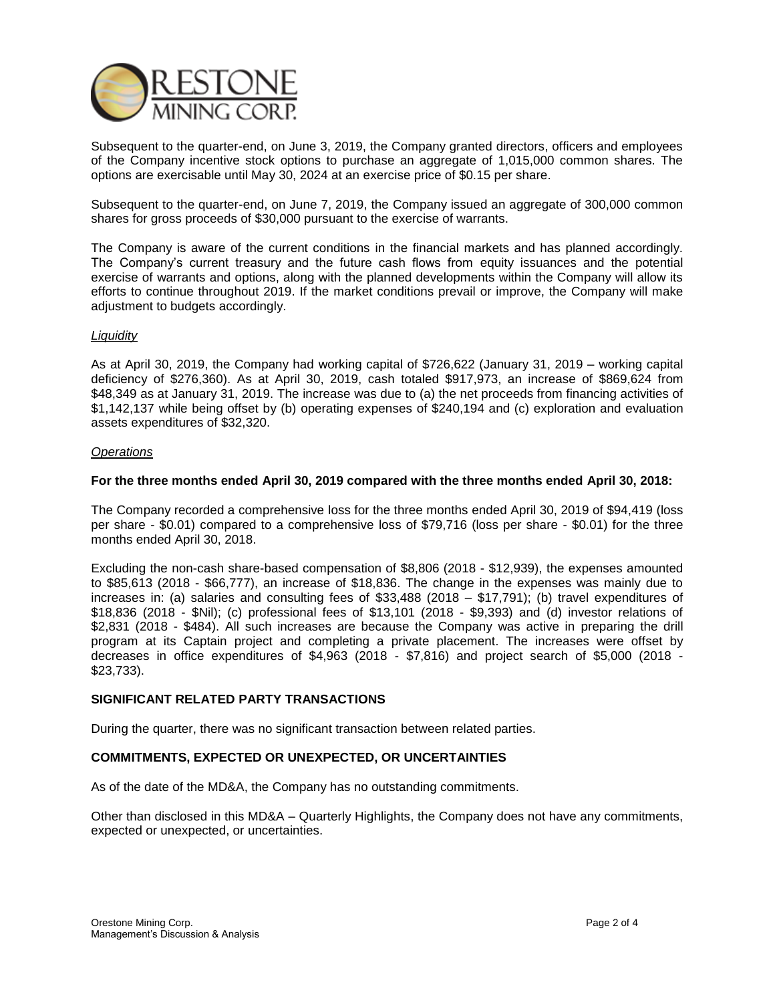

Subsequent to the quarter-end, on June 3, 2019, the Company granted directors, officers and employees of the Company incentive stock options to purchase an aggregate of 1,015,000 common shares. The options are exercisable until May 30, 2024 at an exercise price of \$0.15 per share.

Subsequent to the quarter-end, on June 7, 2019, the Company issued an aggregate of 300,000 common shares for gross proceeds of \$30,000 pursuant to the exercise of warrants.

The Company is aware of the current conditions in the financial markets and has planned accordingly. The Company's current treasury and the future cash flows from equity issuances and the potential exercise of warrants and options, along with the planned developments within the Company will allow its efforts to continue throughout 2019. If the market conditions prevail or improve, the Company will make adjustment to budgets accordingly.

### *Liquidity*

As at April 30, 2019, the Company had working capital of \$726,622 (January 31, 2019 – working capital deficiency of \$276,360). As at April 30, 2019, cash totaled \$917,973, an increase of \$869,624 from \$48,349 as at January 31, 2019. The increase was due to (a) the net proceeds from financing activities of \$1,142,137 while being offset by (b) operating expenses of \$240,194 and (c) exploration and evaluation assets expenditures of \$32,320.

#### *Operations*

#### **For the three months ended April 30, 2019 compared with the three months ended April 30, 2018:**

The Company recorded a comprehensive loss for the three months ended April 30, 2019 of \$94,419 (loss per share - \$0.01) compared to a comprehensive loss of \$79,716 (loss per share - \$0.01) for the three months ended April 30, 2018.

Excluding the non-cash share-based compensation of \$8,806 (2018 - \$12,939), the expenses amounted to \$85,613 (2018 - \$66,777), an increase of \$18,836. The change in the expenses was mainly due to increases in: (a) salaries and consulting fees of \$33,488 (2018 – \$17,791); (b) travel expenditures of \$18,836 (2018 - \$Nil); (c) professional fees of \$13,101 (2018 - \$9,393) and (d) investor relations of \$2,831 (2018 - \$484). All such increases are because the Company was active in preparing the drill program at its Captain project and completing a private placement. The increases were offset by decreases in office expenditures of \$4,963 (2018 - \$7,816) and project search of \$5,000 (2018 - \$23,733).

### **SIGNIFICANT RELATED PARTY TRANSACTIONS**

During the quarter, there was no significant transaction between related parties.

### **COMMITMENTS, EXPECTED OR UNEXPECTED, OR UNCERTAINTIES**

As of the date of the MD&A, the Company has no outstanding commitments.

Other than disclosed in this MD&A – Quarterly Highlights, the Company does not have any commitments, expected or unexpected, or uncertainties.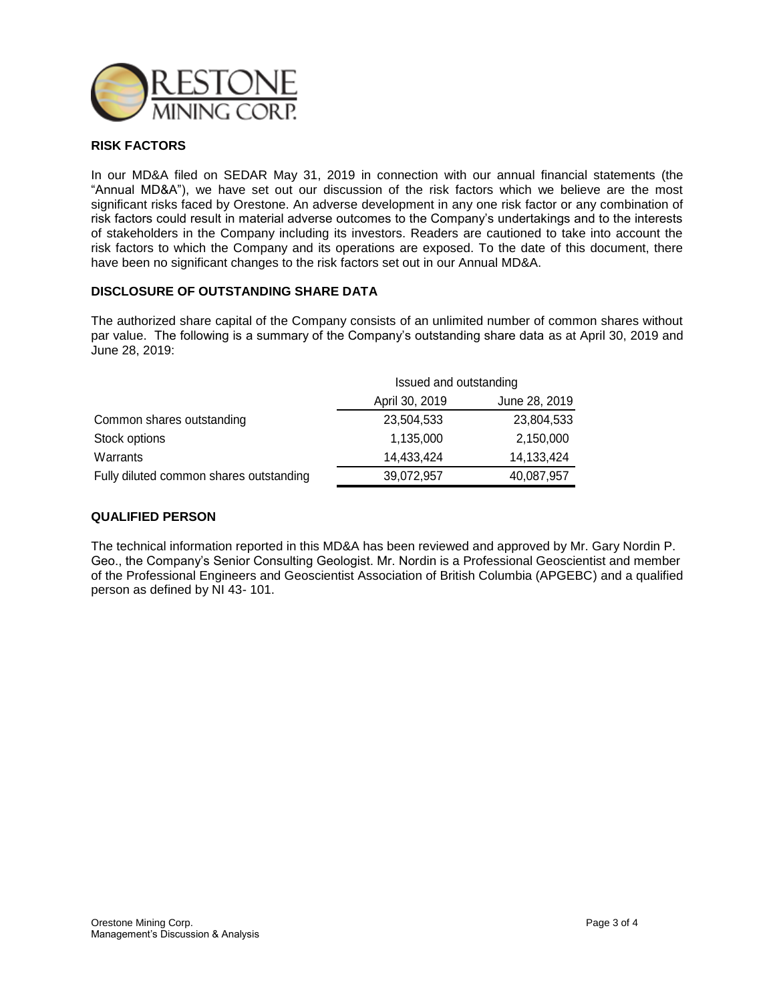

# **RISK FACTORS**

In our MD&A filed on SEDAR May 31, 2019 in connection with our annual financial statements (the "Annual MD&A"), we have set out our discussion of the risk factors which we believe are the most significant risks faced by Orestone. An adverse development in any one risk factor or any combination of risk factors could result in material adverse outcomes to the Company's undertakings and to the interests of stakeholders in the Company including its investors. Readers are cautioned to take into account the risk factors to which the Company and its operations are exposed. To the date of this document, there have been no significant changes to the risk factors set out in our Annual MD&A.

# **DISCLOSURE OF OUTSTANDING SHARE DATA**

The authorized share capital of the Company consists of an unlimited number of common shares without par value. The following is a summary of the Company's outstanding share data as at April 30, 2019 and June 28, 2019:

|                                         | Issued and outstanding |               |
|-----------------------------------------|------------------------|---------------|
|                                         | April 30, 2019         | June 28, 2019 |
| Common shares outstanding               | 23,504,533             | 23,804,533    |
| Stock options                           | 1,135,000              | 2,150,000     |
| Warrants                                | 14,433,424             | 14,133,424    |
| Fully diluted common shares outstanding | 39,072,957             | 40,087,957    |

### **QUALIFIED PERSON**

The technical information reported in this MD&A has been reviewed and approved by Mr. Gary Nordin P. Geo., the Company's Senior Consulting Geologist. Mr. Nordin is a Professional Geoscientist and member of the Professional Engineers and Geoscientist Association of British Columbia (APGEBC) and a qualified person as defined by NI 43- 101.